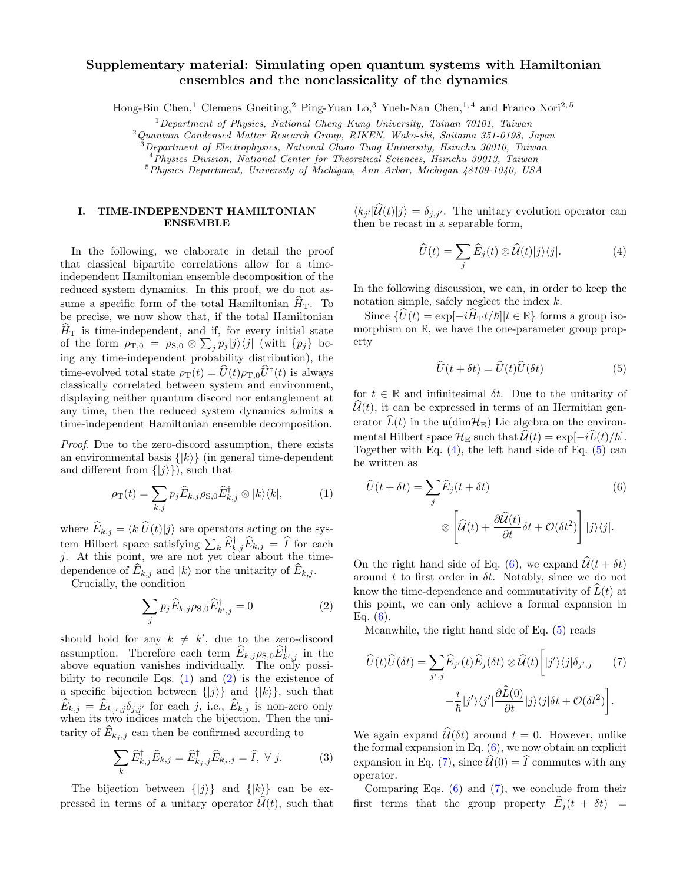# Supplementary material: Simulating open quantum systems with Hamiltonian ensembles and the nonclassicality of the dynamics

Hong-Bin Chen,<sup>1</sup> Clemens Gneiting,<sup>2</sup> Ping-Yuan Lo,<sup>3</sup> Yueh-Nan Chen,<sup>1,4</sup> and Franco Nori<sup>2,5</sup>

 $1$ Department of Physics, National Cheng Kung University, Tainan 70101, Taiwan

<sup>2</sup>Quantum Condensed Matter Research Group, RIKEN, Wako-shi, Saitama 351-0198, Japan

 $3$ Department of Electrophysics, National Chiao Tung University, Hsinchu 30010, Taiwan

<sup>4</sup>Physics Division, National Center for Theoretical Sciences, Hsinchu 30013, Taiwan

 $5$ Physics Department, University of Michigan, Ann Arbor, Michigan 48109-1040, USA

### I. TIME-INDEPENDENT HAMILTONIAN ENSEMBLE

In the following, we elaborate in detail the proof that classical bipartite correlations allow for a timeindependent Hamiltonian ensemble decomposition of the reduced system dynamics. In this proof, we do not assume a specific form of the total Hamiltonian  $H<sub>T</sub>$ . To be precise, we now show that, if the total Hamiltonian  $\widehat{H}_{\text{T}}$  is time-independent, and if, for every initial state of the form  $\rho_{\text{T},0} = \rho_{\text{S},0} \otimes \sum_j p_j |j\rangle\langle j|$  (with  $\{p_j\}$  being any time-independent probability distribution), the time-evolved total state  $\rho_T(t) = \hat{U}(t)\rho_{T,0}\hat{U}^{\dagger}(t)$  is always classically correlated between system and environment, displaying neither quantum discord nor entanglement at any time, then the reduced system dynamics admits a time-independent Hamiltonian ensemble decomposition.

Proof. Due to the zero-discord assumption, there exists an environmental basis  $\{|k\rangle\}$  (in general time-dependent and different from  $\{|j\rangle\}$ , such that

<span id="page-0-0"></span>
$$
\rho_{\rm T}(t) = \sum_{k,j} p_j \widehat{E}_{k,j} \rho_{\rm S,0} \widehat{E}_{k,j}^{\dagger} \otimes |k\rangle\langle k|, \tag{1}
$$

where  $\widehat{E}_{k,j} = \langle k|\widehat{U}(t)|j\rangle$  are operators acting on the system Hilbert space satisfying  $\sum_k \widehat{E}_{k,j}^{\dagger} \widehat{E}_{k,j} = \widehat{I}$  for each j. At this point, we are not yet clear about the timedependence of  $\widehat{E}_{k,j}$  and  $|k\rangle$  nor the unitarity of  $\widehat{E}_{k,j}$ .

Crucially, the condition

<span id="page-0-1"></span>
$$
\sum_{j} p_j \widehat{E}_{k,j} \rho_{\mathcal{S},0} \widehat{E}_{k',j}^{\dagger} = 0 \tag{2}
$$

should hold for any  $k \neq k'$ , due to the zero-discord assumption. Therefore each term  $\widehat{E}_{k,j}\rho_{\mathrm{S},0}\widehat{E}_{k',j}^{\dagger}$  in the above equation vanishes individually. The only possibility to reconcile Eqs.  $(1)$  and  $(2)$  is the existence of a specific bijection between  $\{|j\rangle\}$  and  $\{|k\rangle\}$ , such that  $E_{k,j} = E_{k_j, j} \delta_{j, j'}$  for each j, i.e.,  $E_{k,j}$  is non-zero only when its two indices match the bijection. Then the unitarity of  $E_{k_i,j}$  can then be confirmed according to

<span id="page-0-6"></span>
$$
\sum_{k} \widehat{E}_{k,j}^{\dagger} \widehat{E}_{k,j} = \widehat{E}_{k,j,j}^{\dagger} \widehat{E}_{k,j,j} = \widehat{I}, \ \forall \ j.
$$
 (3)

The bijection between  $\{|j\rangle\}$  and  $\{|k\rangle\}$  can be expressed in terms of a unitary operator  $\hat{\mathcal{U}}(t)$ , such that

 $\langle k_{j'}|U(t)|j\rangle = \delta_{j,j'}$ . The unitary evolution operator can then be recast in a separable form,

<span id="page-0-2"></span>
$$
\widehat{U}(t) = \sum_{j} \widehat{E}_j(t) \otimes \widehat{\mathcal{U}}(t) |j\rangle\langle j|.
$$
 (4)

In the following discussion, we can, in order to keep the notation simple, safely neglect the index k.

Since  $\{\hat{U}(t) = \exp[-i\hat{H}_{\rm T}t/\hbar]|t \in \mathbb{R}\}$  forms a group isomorphism on **R**, we have the one-parameter group property

<span id="page-0-3"></span>
$$
\widehat{U}(t + \delta t) = \widehat{U}(t)\widehat{U}(\delta t)
$$
\n(5)

for  $t \in \mathbb{R}$  and infinitesimal  $\delta t$ . Due to the unitarity of  $\hat{\mathcal{U}}(t)$ , it can be expressed in terms of an Hermitian generator  $\hat{L}(t)$  in the  $\mu(\text{dim}H_E)$  Lie algebra on the environmental Hilbert space  $\mathcal{H}_E$  such that  $\mathcal{U}(t) = \exp[-iL(t)/\hbar].$ Together with Eq.  $(4)$ , the left hand side of Eq.  $(5)$  can be written as

<span id="page-0-4"></span>
$$
\widehat{U}(t + \delta t) = \sum_{j} \widehat{E}_{j}(t + \delta t)
$$
\n
$$
\otimes \left[ \widehat{\mathcal{U}}(t) + \frac{\partial \widehat{\mathcal{U}}(t)}{\partial t} \delta t + \mathcal{O}(\delta t^{2}) \right] |j\rangle\langle j|.
$$
\n(6)

On the right hand side of Eq. [\(6\)](#page-0-4), we expand  $\hat{\mathcal{U}}(t + \delta t)$ around t to first order in  $\delta t$ . Notably, since we do not know the time-dependence and commutativity of  $\tilde{L}(t)$  at this point, we can only achieve a formal expansion in Eq.  $(6)$ .

Meanwhile, the right hand side of Eq. [\(5\)](#page-0-3) reads

<span id="page-0-5"></span>
$$
\hat{U}(t)\hat{U}(\delta t) = \sum_{j',j}\hat{E}_{j'}(t)\hat{E}_{j}(\delta t) \otimes \hat{\mathcal{U}}(t) \left[|j'\rangle\langle j|\delta_{j',j}\right] \tag{7}
$$
\n
$$
-\frac{i}{\hbar}|j'\rangle\langle j'|\frac{\partial \hat{L}(0)}{\partial t}|j\rangle\langle j|\delta t + \mathcal{O}(\delta t^{2})\right].
$$

We again expand  $\hat{\mathcal{U}}(\delta t)$  around  $t = 0$ . However, unlike the formal expansion in Eq.  $(6)$ , we now obtain an explicit expansion in Eq. [\(7\)](#page-0-5), since  $\hat{\mathcal{U}}(0) = \hat{I}$  commutes with any operator.

Comparing Eqs.  $(6)$  and  $(7)$ , we conclude from their first terms that the group property  $\hat{E}_j(t + \delta t)$  =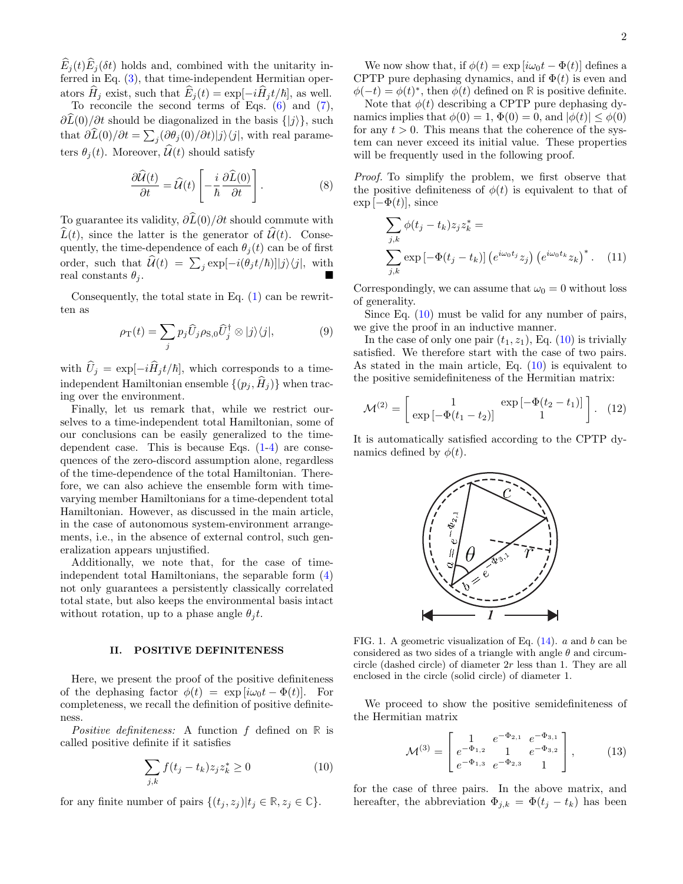$\widehat{E}_j(t)\widehat{E}_j(\delta t)$  holds and, combined with the unitarity inferred in Eq. [\(3\)](#page-0-6), that time-independent Hermitian operators  $\widehat{H}_j$  exist, such that  $\widehat{E}_j(t) = \exp[-i\widehat{H}_j t/\hbar]$ , as well.<br>To reconcile the second terms of Eqs. [\(6\)](#page-0-4) and [\(7\)](#page-0-5),

 $\partial L(0)/\partial t$  should be diagonalized in the basis  $\{|j\rangle\}$ , such that  $\partial L(0)/\partial t = \sum_j (\partial \theta_j(0)/\partial t)|j\rangle\langle j|$ , with real parameters  $\theta_i(t)$ . Moreover,  $\mathcal{U}(t)$  should satisfy

$$
\frac{\partial \widehat{\mathcal{U}}(t)}{\partial t} = \widehat{\mathcal{U}}(t) \left[ -\frac{i}{\hbar} \frac{\partial \widehat{L}(0)}{\partial t} \right]. \tag{8}
$$

To guarantee its validity,  $\partial \widehat{L}(0)/\partial t$  should commute with  $\widehat{L}(t)$ , since the latter is the generator of  $\widehat{\mathcal{U}}(t)$ . Consequently, the time-dependence of each  $\theta_i(t)$  can be of first order, such that  $\widehat{\mathcal{U}}(t) = \sum_j \exp[-i(\theta_j t/\hbar)]|j\rangle\langle j|$ , with real constants  $\theta_j$ .

Consequently, the total state in Eq.  $(1)$  can be rewritten as

$$
\rho_{\rm T}(t) = \sum_j p_j \hat{U}_j \rho_{\rm S,0} \hat{U}_j^{\dagger} \otimes |j\rangle\langle j|,\tag{9}
$$

with  $\hat{U}_j = \exp[-i\hat{H}_j t/\hbar]$ , which corresponds to a timeindependent Hamiltonian ensemble  $\{(p_j, \hat{H}_j)\}\$  when tracing over the environment.

Finally, let us remark that, while we restrict ourselves to a time-independent total Hamiltonian, some of our conclusions can be easily generalized to the timedependent case. This is because Eqs.  $(1-4)$  $(1-4)$  are consequences of the zero-discord assumption alone, regardless of the time-dependence of the total Hamiltonian. Therefore, we can also achieve the ensemble form with timevarying member Hamiltonians for a time-dependent total Hamiltonian. However, as discussed in the main article, in the case of autonomous system-environment arrangements, i.e., in the absence of external control, such generalization appears unjustified.

Additionally, we note that, for the case of timeindependent total Hamiltonians, the separable form [\(4\)](#page-0-2) not only guarantees a persistently classically correlated total state, but also keeps the environmental basis intact without rotation, up to a phase angle  $\theta_i t$ .

#### II. POSITIVE DEFINITENESS

Here, we present the proof of the positive definiteness of the dephasing factor  $\phi(t) = \exp[i\omega_0 t - \Phi(t)]$ . For completeness, we recall the definition of positive definiteness.

Positive definiteness: A function f defined on **R** is called positive definite if it satisfies

<span id="page-1-0"></span>
$$
\sum_{j,k} f(t_j - t_k) z_j z_k^* \ge 0 \tag{10}
$$

for any finite number of pairs  $\{(t_j, z_j) | t_j \in \mathbb{R}, z_j \in \mathbb{C}\}.$ 

We now show that, if  $\phi(t) = \exp[i\omega_0 t - \Phi(t)]$  defines a CPTP pure dephasing dynamics, and if  $\Phi(t)$  is even and  $\phi(-t) = \phi(t)^*$ , then  $\phi(t)$  defined on **R** is positive definite.

Note that  $\phi(t)$  describing a CPTP pure dephasing dynamics implies that  $\phi(0) = 1$ ,  $\Phi(0) = 0$ , and  $|\phi(t)| \leq \phi(0)$ for any  $t > 0$ . This means that the coherence of the system can never exceed its initial value. These properties will be frequently used in the following proof.

Proof. To simplify the problem, we first observe that the positive definiteness of  $\phi(t)$  is equivalent to that of  $\exp[-\Phi(t)]$ , since

<span id="page-1-2"></span>
$$
\sum_{j,k} \phi(t_j - t_k) z_j z_k^* =
$$
  

$$
\sum_{j,k} \exp\left[-\Phi(t_j - t_k)\right] \left(e^{i\omega_0 t_j} z_j\right) \left(e^{i\omega_0 t_k} z_k\right)^*.
$$
 (11)

Correspondingly, we can assume that  $\omega_0 = 0$  without loss of generality.

Since Eq. [\(10\)](#page-1-0) must be valid for any number of pairs, we give the proof in an inductive manner.

In the case of only one pair  $(t_1, z_1)$ , Eq. [\(10\)](#page-1-0) is trivially satisfied. We therefore start with the case of two pairs. As stated in the main article, Eq.  $(10)$  is equivalent to the positive semidefiniteness of the Hermitian matrix:

$$
\mathcal{M}^{(2)} = \begin{bmatrix} 1 & \exp[-\Phi(t_2 - t_1)] \\ \exp[-\Phi(t_1 - t_2)] & 1 \end{bmatrix}.
$$
 (12)

It is automatically satisfied according to the CPTP dynamics defined by  $\phi(t)$ .



<span id="page-1-1"></span>FIG. 1. A geometric visualization of Eq. [\(14\)](#page-2-0). a and b can be considered as two sides of a triangle with angle  $\theta$  and circumcircle (dashed circle) of diameter  $2r$  less than 1. They are all enclosed in the circle (solid circle) of diameter 1.

We proceed to show the positive semidefiniteness of the Hermitian matrix

$$
\mathcal{M}^{(3)} = \begin{bmatrix} 1 & e^{-\Phi_{2,1}} & e^{-\Phi_{3,1}} \\ e^{-\Phi_{1,2}} & 1 & e^{-\Phi_{3,2}} \\ e^{-\Phi_{1,3}} & e^{-\Phi_{2,3}} & 1 \end{bmatrix},
$$
(13)

for the case of three pairs. In the above matrix, and hereafter, the abbreviation  $\Phi_{j,k} = \Phi(t_j - t_k)$  has been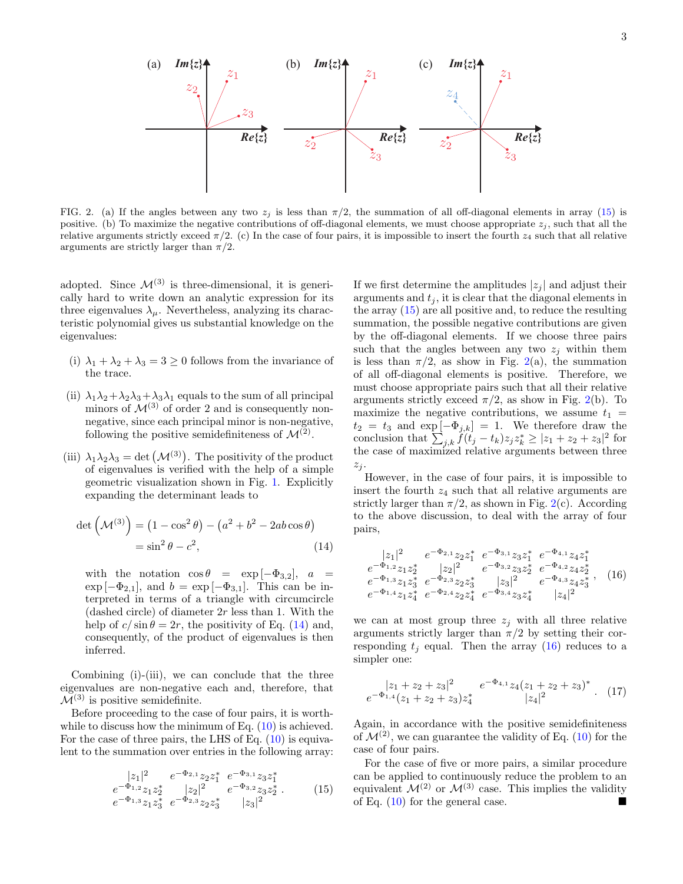

<span id="page-2-2"></span>FIG. 2. (a) If the angles between any two  $z_i$  is less than  $\pi/2$ , the summation of all off-diagonal elements in array [\(15\)](#page-2-1) is positive. (b) To maximize the negative contributions of off-diagonal elements, we must choose appropriate  $z_i$ , such that all the relative arguments strictly exceed  $\pi/2$ . (c) In the case of four pairs, it is impossible to insert the fourth  $z_4$  such that all relative arguments are strictly larger than  $\pi/2$ .

adopted. Since  $\mathcal{M}^{(3)}$  is three-dimensional, it is generically hard to write down an analytic expression for its three eigenvalues  $\lambda_{\mu}$ . Nevertheless, analyzing its characteristic polynomial gives us substantial knowledge on the eigenvalues:

- (i)  $\lambda_1 + \lambda_2 + \lambda_3 = 3 \geq 0$  follows from the invariance of the trace.
- (ii)  $\lambda_1 \lambda_2 + \lambda_2 \lambda_3 + \lambda_3 \lambda_1$  equals to the sum of all principal minors of  $\mathcal{M}^{(3)}$  of order 2 and is consequently nonnegative, since each principal minor is non-negative, following the positive semidefiniteness of  $\mathcal{M}^{(2)}$ .
- (iii)  $\lambda_1 \lambda_2 \lambda_3 = \det (\mathcal{M}^{(3)})$ . The positivity of the product of eigenvalues is verified with the help of a simple geometric visualization shown in Fig. [1.](#page-1-1) Explicitly expanding the determinant leads to

<span id="page-2-0"></span>
$$
\det\left(\mathcal{M}^{(3)}\right) = \left(1 - \cos^2\theta\right) - \left(a^2 + b^2 - 2ab\cos\theta\right)
$$

$$
= \sin^2\theta - c^2,
$$
(14)

with the notation  $\cos \theta = \exp[-\Phi_{3,2}], a =$  $\exp[-\Phi_{2,1}],$  and  $b = \exp[-\Phi_{3,1}].$  This can be interpreted in terms of a triangle with circumcircle (dashed circle) of diameter  $2r$  less than 1. With the help of  $c/\sin\theta = 2r$ , the positivity of Eq. [\(14\)](#page-2-0) and, consequently, of the product of eigenvalues is then inferred.

Combining (i)-(iii), we can conclude that the three eigenvalues are non-negative each and, therefore, that  $\mathcal{M}^{(3)}$  is positive semidefinite.

Before proceeding to the case of four pairs, it is worthwhile to discuss how the minimum of Eq.  $(10)$  is achieved. For the case of three pairs, the LHS of Eq.  $(10)$  is equivalent to the summation over entries in the following array:

<span id="page-2-1"></span>
$$
\begin{array}{ccc}\n|z_1|^2 & e^{-\Phi_{2,1}} z_2 z_1^* & e^{-\Phi_{3,1}} z_3 z_1^* \\
e^{-\Phi_{1,2}} z_1 z_2^* & |z_2|^2 & e^{-\Phi_{3,2}} z_3 z_2^* \\
e^{-\Phi_{1,3}} z_1 z_3^* & e^{-\Phi_{2,3}} z_2 z_3^* & |z_3|^2\n\end{array} \tag{15}
$$

If we first determine the amplitudes  $|z_i|$  and adjust their arguments and  $t_i$ , it is clear that the diagonal elements in the array [\(15\)](#page-2-1) are all positive and, to reduce the resulting summation, the possible negative contributions are given by the off-diagonal elements. If we choose three pairs such that the angles between any two  $z_j$  within them is less than  $\pi/2$ , as show in Fig. [2\(](#page-2-2)a), the summation of all off-diagonal elements is positive. Therefore, we must choose appropriate pairs such that all their relative arguments strictly exceed  $\pi/2$ , as show in Fig. [2\(](#page-2-2)b). To maximize the negative contributions, we assume  $t_1$  =  $t_2 = t_3$  and  $\exp[-\Phi_{j,k}] = 1$ . We therefore draw the conclusion that  $\sum_{j,k} f(t_j - t_k) z_j z_k^* \geq |z_1 + z_2 + z_3|^2$  for the case of maximized relative arguments between three  $z_j$ .

However, in the case of four pairs, it is impossible to insert the fourth  $z_4$  such that all relative arguments are strictly larger than  $\pi/2$ , as shown in Fig. [2\(](#page-2-2)c). According to the above discussion, to deal with the array of four pairs,

<span id="page-2-3"></span>
$$
\begin{array}{ccc}\n|z_1|^2 & e^{-\Phi_{2,1}} z_2 z_1^* & e^{-\Phi_{3,1}} z_3 z_1^* & e^{-\Phi_{4,1}} z_4 z_1^* \\
e^{-\Phi_{1,2}} z_1 z_2^* & |z_2|^2 & e^{-\Phi_{3,2}} z_3 z_2^* & e^{-\Phi_{4,2}} z_4 z_2^* \\
e^{-\Phi_{1,3}} z_1 z_3^* & e^{-\Phi_{2,3}} z_2 z_3^* & |z_3|^2 & e^{-\Phi_{4,3}} z_4 z_3^* \\
e^{-\Phi_{1,4}} z_1 z_4^* & e^{-\Phi_{2,4}} z_2 z_4^* & e^{-\Phi_{3,4}} z_3 z_4^* & |z_4|^2\n\end{array}, (16)
$$

we can at most group three  $z_i$  with all three relative arguments strictly larger than  $\pi/2$  by setting their corresponding  $t_i$  equal. Then the array [\(16\)](#page-2-3) reduces to a simpler one:

$$
\begin{array}{cc}\n|z_1 + z_2 + z_3|^2 & e^{-\Phi_{4,1}} z_4 (z_1 + z_2 + z_3)^* \\
e^{-\Phi_{1,4}} (z_1 + z_2 + z_3) z_4^* & |z_4|^2\n\end{array}.
$$
 (17)

Again, in accordance with the positive semidefiniteness of  $\mathcal{M}^{(2)}$ , we can guarantee the validity of Eq. [\(10\)](#page-1-0) for the case of four pairs.

For the case of five or more pairs, a similar procedure can be applied to continuously reduce the problem to an equivalent  $\mathcal{M}^{(2)}$  or  $\mathcal{M}^{(3)}$  case. This implies the validity of Eq. [\(10\)](#page-1-0) for the general case.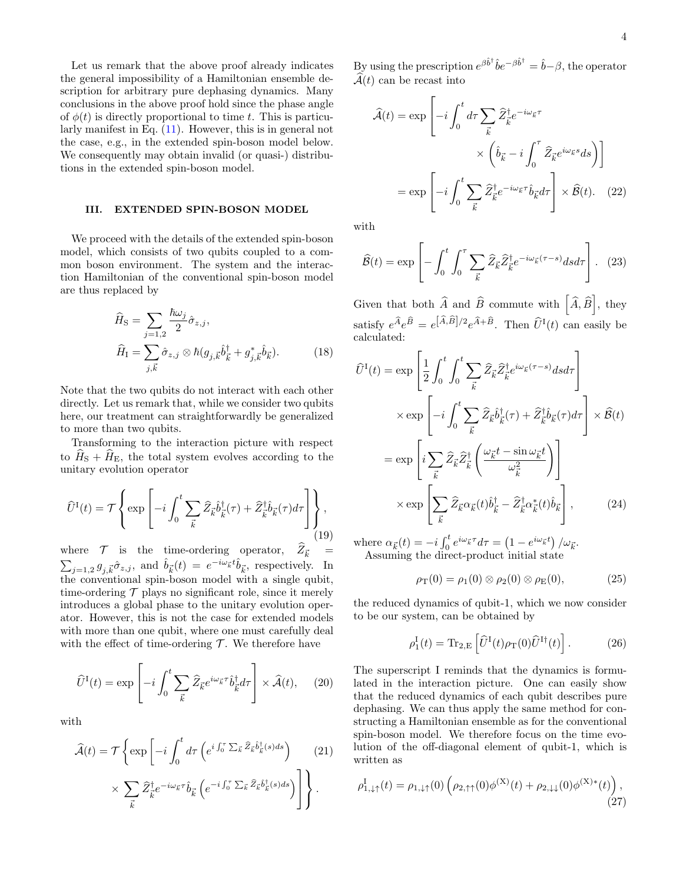Let us remark that the above proof already indicates the general impossibility of a Hamiltonian ensemble description for arbitrary pure dephasing dynamics. Many conclusions in the above proof hold since the phase angle of  $\phi(t)$  is directly proportional to time t. This is particularly manifest in Eq. [\(11\)](#page-1-2). However, this is in general not the case, e.g., in the extended spin-boson model below. We consequently may obtain invalid (or quasi-) distributions in the extended spin-boson model.

## III. EXTENDED SPIN-BOSON MODEL

We proceed with the details of the extended spin-boson model, which consists of two qubits coupled to a common boson environment. The system and the interaction Hamiltonian of the conventional spin-boson model are thus replaced by

$$
\widehat{H}_{\rm S} = \sum_{j=1,2} \frac{\hbar \omega_j}{2} \hat{\sigma}_{z,j},
$$
\n
$$
\widehat{H}_{\rm I} = \sum_{j,\vec{k}} \hat{\sigma}_{z,j} \otimes \hbar (g_{j,\vec{k}} \hat{b}_{\vec{k}}^{\dagger} + g_{j,\vec{k}}^* \hat{b}_{\vec{k}}).
$$
\n(18)

Note that the two qubits do not interact with each other directly. Let us remark that, while we consider two qubits here, our treatment can straightforwardly be generalized to more than two qubits.

Transforming to the interaction picture with respect to  $\hat{H}_{\rm S} + \hat{H}_{\rm E}$ , the total system evolves according to the unitary evolution operator

$$
\widehat{U}^{I}(t) = \mathcal{T} \left\{ \exp \left[ -i \int_{0}^{t} \sum_{\vec{k}} \widehat{Z}_{\vec{k}} \widehat{b}_{\vec{k}}^{\dagger}(\tau) + \widehat{Z}_{\vec{k}}^{\dagger} \widehat{b}_{\vec{k}}(\tau) d\tau \right] \right\},\tag{19}
$$

where  $\mathcal{T}$  is the time-ordering operator,  $Z_{\vec{k}} = \sum_{j=1,2} g_{j,\vec{k}} \hat{\sigma}_{z,j}$ , and  $\hat{b}_{\vec{k}}(t) = e^{-i\omega_{\vec{k}}t} \hat{b}_{\vec{k}}$ , respectively. In the conventional spin-boson model with a single qubit, time-ordering  $\mathcal T$  plays no significant role, since it merely introduces a global phase to the unitary evolution operator. However, this is not the case for extended models with more than one qubit, where one must carefully deal with the effect of time-ordering  $\mathcal T$ . We therefore have

$$
\widehat{U}^{I}(t) = \exp\left[-i\int_{0}^{t} \sum_{\vec{k}} \widehat{Z}_{\vec{k}} e^{i\omega_{\vec{k}}\tau} \widehat{b}_{\vec{k}}^{\dagger} d\tau\right] \times \widehat{\mathcal{A}}(t), \quad (20)
$$

with

$$
\widehat{\mathcal{A}}(t) = \mathcal{T} \left\{ \exp \left[ -i \int_0^t d\tau \left( e^{i \int_0^{\tau} \sum_{\vec{k}} \widehat{Z}_{\vec{k}} \widehat{b}_{\vec{k}}^{\dagger}(s) ds} \right) \right. \right. \right. \times \sum_{\vec{k}} \widehat{Z}_{\vec{k}}^{\dagger} e^{-i \omega_{\vec{k}} \tau} \widehat{b}_{\vec{k}} \left( e^{-i \int_0^{\tau} \sum_{\vec{k}} \widehat{Z}_{\vec{k}} \widehat{b}_{\vec{k}}^{\dagger}(s) ds} \right) \right\}.
$$
\n(21)

By using the prescription  $e^{\beta \hat{b}^{\dagger}} \hat{b} e^{-\beta \hat{b}^{\dagger}} = \hat{b} - \beta$ , the operator  $\widehat{\mathcal{A}}(t)$  can be recast into

$$
\widehat{\mathcal{A}}(t) = \exp\left[-i\int_0^t d\tau \sum_{\vec{k}} \widehat{Z}_{\vec{k}}^{\dagger} e^{-i\omega_{\vec{k}}\tau} \times \left(\widehat{b}_{\vec{k}} - i\int_0^{\tau} \widehat{Z}_{\vec{k}} e^{i\omega_{\vec{k}}s} ds\right)\right]
$$

$$
= \exp\left[-i\int_0^t \sum_{\vec{k}} \widehat{Z}_{\vec{k}}^{\dagger} e^{-i\omega_{\vec{k}}\tau} \widehat{b}_{\vec{k}} d\tau\right] \times \widehat{\mathcal{B}}(t). \quad (22)
$$

with

$$
\widehat{\mathcal{B}}(t) = \exp\left[-\int_0^t \int_0^\tau \sum_{\vec{k}} \widehat{Z}_{\vec{k}} \widehat{Z}_{\vec{k}}^\dagger e^{-i\omega_{\vec{k}}(\tau - s)} ds d\tau\right]. \tag{23}
$$

Given that both  $\widehat{A}$  and  $\widehat{B}$  commute with  $\left[\widehat{A}, \widehat{B}\right]$ , they satisfy  $e^{\widehat{A}}e^{\widehat{B}} = e^{[\widehat{A},\widehat{B}]/2}e^{\widehat{A}+\widehat{B}}$ . Then  $\widehat{U}^{I}(t)$  can easily be calculated:

$$
\hat{U}^{I}(t) = \exp\left[\frac{1}{2}\int_{0}^{t}\int_{0}^{t}\sum_{\vec{k}}\hat{Z}_{\vec{k}}\hat{Z}_{\vec{k}}^{\dagger}e^{i\omega_{\vec{k}}(\tau-s)}dsd\tau\right] \times \exp\left[-i\int_{0}^{t}\sum_{\vec{k}}\hat{Z}_{\vec{k}}\hat{b}_{\vec{k}}^{\dagger}(\tau)+\hat{Z}_{\vec{k}}^{\dagger}\hat{b}_{\vec{k}}(\tau)d\tau\right] \times \hat{B}(t)
$$
\n
$$
= \exp\left[i\sum_{\vec{k}}\hat{Z}_{\vec{k}}\hat{Z}_{\vec{k}}^{\dagger}\left(\frac{\omega_{\vec{k}}t-\sin\omega_{\vec{k}}t}{\omega_{\vec{k}}^{2}}\right)\right] \times \exp\left[\sum_{\vec{k}}\hat{Z}_{\vec{k}}\alpha_{\vec{k}}(t)\hat{b}_{\vec{k}}^{\dagger}-\hat{Z}_{\vec{k}}^{\dagger}\alpha_{\vec{k}}^{*}(t)\hat{b}_{\vec{k}}\right],
$$
\n(24)

where  $\alpha_{\vec{k}}(t) = -i \int_0^t e^{i\omega_{\vec{k}}\tau} d\tau = (1 - e^{i\omega_{\vec{k}}t}) / \omega_{\vec{k}}.$ Assuming the direct-product initial state

$$
\rho_T(0) = \rho_1(0) \otimes \rho_2(0) \otimes \rho_E(0), \tag{25}
$$

the reduced dynamics of qubit-1, which we now consider to be our system, can be obtained by

$$
\rho_1^{\rm I}(t) = \text{Tr}_{2,\rm E} \left[ \widehat{U}^{\rm I}(t) \rho_{\rm T}(0) \widehat{U}^{\rm I\dagger}(t) \right]. \tag{26}
$$

The superscript I reminds that the dynamics is formulated in the interaction picture. One can easily show that the reduced dynamics of each qubit describes pure dephasing. We can thus apply the same method for constructing a Hamiltonian ensemble as for the conventional spin-boson model. We therefore focus on the time evolution of the off-diagonal element of qubit-1, which is written as

$$
\rho_{1,\downarrow\uparrow}^{I}(t) = \rho_{1,\downarrow\uparrow}(0) \left( \rho_{2,\uparrow\uparrow}(0) \phi^{(X)}(t) + \rho_{2,\downarrow\downarrow}(0) \phi^{(X)*}(t) \right), \tag{27}
$$